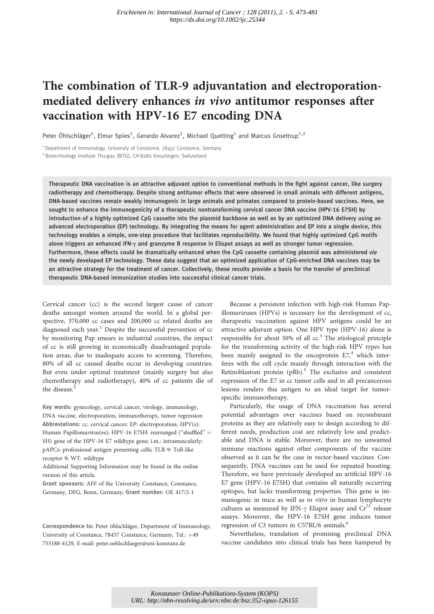# The combination of TLR-9 adjuvantation and electroporationmediated delivery enhances in vivo antitumor responses after vaccination with HPV-16 E7 encoding DNA

Peter Öhlschläger<sup>1</sup>, Elmar Spies<sup>1</sup>, Gerardo Alvarez<sup>1</sup>, Michael Quetting<sup>1</sup> and Marcus Groettrup<sup>1,2</sup>

<sup>1</sup> Department of Immunology, University of Constance, 78457 Constance, Germany <sup>2</sup> Biotechnology Institute Thurgau (BITG), CH-8280 Kreuzlingen, Switzerland

Therapeutic DNA vaccination is an attractive adjuvant option to conventional methods in the fight against cancer, like surgery radiotherapy and chemotherapy. Despite strong antitumor effects that were observed in small animals with different antigens, DNA-based vaccines remain weakly immunogenic in large animals and primates compared to protein-based vaccines. Here, we sought to enhance the immunogenicity of a therapeutic nontransforming cervical cancer DNA vaccine (HPV-16 E7SH) by introduction of a highly optimized CpG cassette into the plasmid backbone as well as by an optimized DNA delivery using an advanced electroporation (EP) technology. By integrating the means for agent administration and EP into a single device, this technology enables a simple, one-step procedure that facilitates reproducibility. We found that highly optimized CpG motifs alone triggers an enhanced IFN-y and granzyme B response in Elispot assays as well as stronger tumor regression. Furthermore, these effects could be dramatically enhanced when the CpG cassette containing plasmid was administered via the newly developed EP technology. These data suggest that an optimized application of CpG-enriched DNA vaccines may be an attractive strategy for the treatment of cancer. Collectively, these results provide a basis for the transfer of preclinical therapeutic DNA-based immunization studies into successful clinical cancer trials.

Cervical cancer (cc) is the second largest cause of cancer deaths amongst women around the world. In a global perspective, 370,000 cc cases and 200,000 cc related deaths are diagnosed each year.<sup>1</sup> Despite the successful prevention of  $cc$ by monitoring Pap smears in industrial countries, the impact of cc is still growing in economically disadvantaged population areas, due to inadequate access to screening. Therefore, 80% of all cc caused deaths occur in developing countries. But even under optimal treatment (mainly surgery but also chemotherapy and radiotherapy), 40% of cc patients die of the disease.<sup>2</sup>

Key words: gynecology, cervical cancer, virology, immunology, DNA vaccine, electroporation, immunotherapy, tumor regression Abbreviations: cc: cervical cancer; EP: electroporation; HPV(s): Human Papillomavirus(es); HPV-16 E7SH: rearranged ("shuffled" = SH) gene of the HPV-16 E7 wildtype gene; i.m.: intramuscularly; pAPCs: professional antigen presenting cells; TLR-9: Toll-like receptor 9; WT: wildtype

Additional Supporting Information may be found in the online version of this article.

Grant sponsors: AFF of the University Constance, Constance, Germany, DFG, Bonn, Germany; Grant number: OE 417/2-1

Correspondence to: Peter öhlschläger, Department of Immunology, University of Constance, 78457 Constance, Germany, Tel.: +49 753188-4129, E-mail: peter.oehlschlaeger@uni-konstanz.de

Because a persistent infection with high-risk Human Papillomaviruses (HPVs) is necessary for the development of cc, therapeutic vaccination against HPV antigens could be an attractive adjuvant option. One HPV type (HPV-16) alone is responsible for about 50% of all  $cc<sup>3</sup>$ . The etiological principle for the transforming activity of the high-risk HPV types has been mainly assigned to the oncoprotein  $E7<sup>4</sup>$  which interferes with the cell cycle mainly through interaction with the Retinoblastom protein  $(pRb)$ .<sup>5</sup> The exclusive and consistent expression of the E7 in cc tumor cells and in all precancerous lesions renders this antigen to an ideal target for tumorspecific immunotherapy.

Particularly, the usage of DNA vaccination has several potential advantages over vaccines based on recombinant proteins as they are relatively easy to design according to different needs, production cost are relatively low and predictable and DNA is stable. Moreover, there are no unwanted immune reactions against other components of the vaccine observed as it can be the case in vector-based vaccines. Consequently, DNA vaccines can be used for repeated boosting. Therefore, we have previously developed an artificial HPV-16 E7 gene (HPV-16 E7SH) that contains all naturally occurring epitopes, but lacks transforming properties. This gene is immunogenic in mice as well as in vitro in human lymphocyte cultures as measured by IFN- $\gamma$  Elispot assay and Cr<sup>51</sup> release assays. Moreover, the HPV-16 E7SH gene induces tumor regression of C3 tumors in C57BL/6 animals.<sup>6</sup>

Nevertheless, translation of promising preclinical DNA vaccine candidates into clinical trials has been hampered by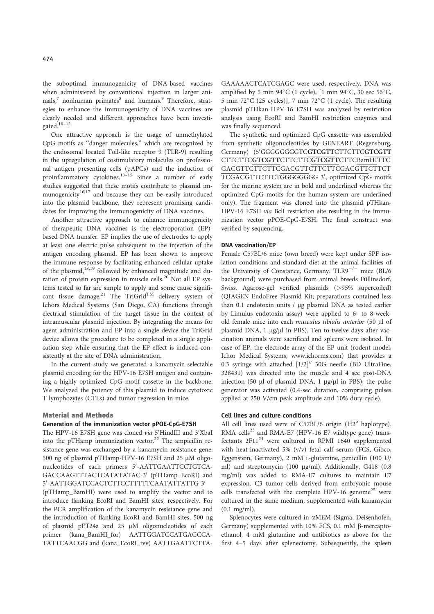the suboptimal immunogenicity of DNA-based vaccines when administered by conventional injection in larger ani $mals$ <sup>7</sup> nonhuman primates<sup>8</sup> and humans.<sup>9</sup> Therefore, strategies to enhance the immunogenicity of DNA vaccines are clearly needed and different approaches have been investigated.10–12

One attractive approach is the usage of unmethylated CpG motifs as ''danger molecules,'' which are recognized by the endosomal located Toll-like receptor 9 (TLR-9) resulting in the upregulation of costimulatory molecules on professional antigen presenting cells (pAPCs) and the induction of proinflammatory cytokines.13–15 Since a number of early studies suggested that these motifs contribute to plasmid immunogenicity $16,17$  and because they can be easily introduced into the plasmid backbone, they represent promising candidates for improving the immunogenicity of DNA vaccines.

Another attractive approach to enhance immunogenicity of therapeutic DNA vaccines is the electroporation (EP) based DNA transfer. EP implies the use of electrodes to apply at least one electric pulse subsequent to the injection of the antigen encoding plasmid. EP has been shown to improve the immune response by facilitating enhanced cellular uptake of the plasmid,<sup>18,19</sup> followed by enhanced magnitude and duration of protein expression in muscle cells.<sup>20</sup> Not all EP systems tested so far are simple to apply and some cause significant tissue damage.<sup>21</sup> The TriGrid<sup>TM</sup> delivery system of Ichors Medical Systems (San Diego, CA) functions through electrical stimulation of the target tissue in the context of intramuscular plasmid injection. By integrating the means for agent administration and EP into a single device the TriGrid device allows the procedure to be completed in a single application step while ensuring that the EP effect is induced consistently at the site of DNA administration.

In the current study we generated a kanamycin-selectable plasmid encoding for the HPV-16 E7SH antigen and containing a highly optimized CpG motif cassette in the backbone. We analyzed the potency of this plasmid to induce cytotoxic T lymphozytes (CTLs) and tumor regression in mice.

#### Material and Methods

## Generation of the immunization vector pPOE-CpG-E7SH

The HPV-16 E7SH gene was cloned via 5'HindIII and 3'XbaI into the pTHamp immunization vector.<sup>22</sup> The ampicillin resistance gene was exchanged by a kanamycin resistance gene: 500 ng of plasmid pTHamp-HPV-16 E7SH and 25  $\mu$ M oligonucleotides of each primers 5'-AATTGAATTCCTGTCA-GACCAAGTTTACTCATATATAC-3' (pTHamp\_EcoRI) and 5'-AATTGGATCCACTCTTCCTTTTTCAATATTATTG-3'

(pTHamp\_BamHI) were used to amplify the vector and to introduce flanking EcoRI and BamHI sites, respectively. For the PCR amplification of the kanamycin resistance gene and the introduction of flanking EcoRI and BamHI sites, 500 ng of plasmid pET24a and 25  $\mu$ M oligonucleotides of each primer (kana\_BamHI\_for) AATTGGATCCATGAGCCA-TATTCAACGG and (kana\_EcoRI\_rev) AATTGAATTCTTA-

GAAAAACTCATCGAGC were used, respectively. DNA was amplified by 5 min  $94^{\circ}$ C (1 cycle), [1 min  $94^{\circ}$ C, 30 sec 56 $^{\circ}$ C, 5 min 72°C (25 cycles)], 7 min 72°C (1 cycle). The resulting plasmid pTHkan-HPV-16 E7SH was analyzed by restriction analysis using EcoRI and BamHI restriction enzymes and was finally sequenced.

The synthetic and optimized CpG cassette was assembled from synthetic oligonucleotides by GENEART (Regensburg, Germany) (5'GGGGGGGGTCGTCGTTCTTCTTCGTCGTT CTTCTTCGTCGTTCTTCTTCGTCGTTCTTCBamHITTC GACGTTCTTCTTCGACGTTCTTCTTCGACGTTCTTCT TCGACGTTCTTCTGGGGGGGG 3', optimized CpG motifs for the murine system are in bold and underlined whereas the optimized CpG motifs for the human system are underlined only). The fragment was cloned into the plasmid pTHkan-HPV-16 E7SH via BclI restriction site resulting in the immunization vector pPOE-CpG-E7SH. The final construct was verified by sequencing.

#### DNA vaccination/EP

Female C57BL/6 mice (own breed) were kept under SPF isolation conditions and standard diet at the animal facilities of the University of Constance, Germany. TLR9 $^{-/-}$  mice (BL/6 background) were purchased from animal breeds Füllinsdorf, Swiss. Agarose-gel verified plasmids (>95% supercoiled) (QIAGEN EndoFree Plasmid Kit; preparations contained less than 0.1 endotoxin units / µg plasmid DNA as tested earlier by Limulus endotoxin assay) were applied to 6- to 8-weekold female mice into each musculus tibialis anterior (50 µl of plasmid DNA, 1 µg/µl in PBS). Ten to twelve days after vaccination animals were sacrificed and spleens were isolated. In case of EP, the electrode array of the EP unit (rodent model, Ichor Medical Systems, www.ichorms.com) that provides a 0.3 syringe with attached  $[1/2]''$  30G needle (BD UltraFine, 328431) was directed into the muscle and 4 sec post-DNA injection (50  $\mu$ l of plasmid DNA, 1  $\mu$ g/ $\mu$ l in PBS), the pulse generator was activated (0.4-sec duration, comprising pulses applied at 250 V/cm peak amplitude and 10% duty cycle).

## Cell lines and culture conditions

All cell lines used were of C57BL/6 origin  $(H2^b)$  haplotype). RMA cells<sup>23</sup> and RMA-E7 (HPV-16 E7 wildtype gene) transfectants 2F11<sup>24</sup> were cultured in RPMI 1640 supplemented with heat-inactivated 5% (v/v) fetal calf serum (FCS, Gibco, Eggenstein, Germany), 2 mM L-glutamine, penicillin (100 U/ ml) and streptomycin (100 µg/ml). Additionally, G418 (0.8 mg/ml) was added to RMA-E7 cultures to maintain E7 expression. C3 tumor cells derived from embryonic mouse cells transfected with the complete HPV-16 genome<sup>25</sup> were cultured in the same medium, supplemented with kanamycin (0.1 mg/ml).

Splenocytes were cultured in aMEM (Sigma, Deisenhofen, Germany) supplemented with 10% FCS, 0.1 mM ß-mercaptoethanol, 4 mM glutamine and antibiotics as above for the first 4–5 days after splenectomy. Subsequently, the spleen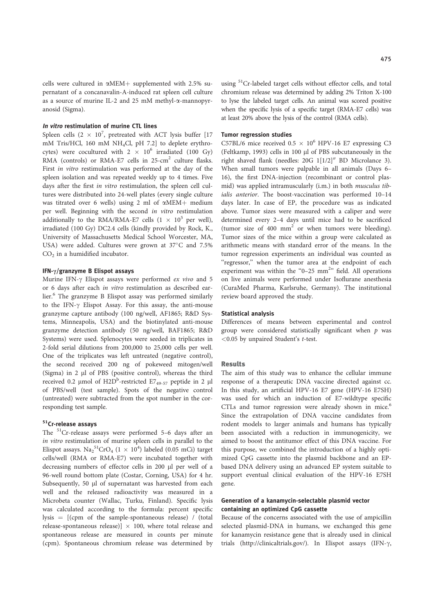cells were cultured in  $\alpha$ MEM+ supplemented with 2.5% supernatant of a concanavalin-A-induced rat spleen cell culture as a source of murine IL-2 and 25 mM methyl-a-mannopyranosid (Sigma).

# In vitro restimulation of murine CTL lines

Spleen cells  $(2 \times 10^7)$ , pretreated with ACT lysis buffer [17 mM Tris/HCl, 160 mM NH4Cl, pH 7.2] to deplete erythrocytes) were cocultured with  $2 \times 10^6$  irradiated (100 Gy) RMA (controls) or RMA-E7 cells in 25-cm<sup>2</sup> culture flasks. First in vitro restimulation was performed at the day of the spleen isolation and was repeated weekly up to 4 times. Five days after the first in vitro restimulation, the spleen cell cultures were distributed into 24-well plates (every single culture was titrated over 6 wells) using 2 ml of  $\alpha$ MEM+ medium per well. Beginning with the second in vitro restimulation additionally to the RMA/RMA-E7 cells  $(1 \times 10^5$  per well), irradiated (100 Gy) DC2.4 cells (kindly provided by Rock, K., University of Massachusetts Medical School Worcester, MA, USA) were added. Cultures were grown at 37°C and 7.5%  $CO<sub>2</sub>$  in a humidified incubator.

## IFN- $\gamma$ /granzyme B Elispot assays

Murine IFN- $\gamma$  Elispot assays were performed ex vivo and 5 or 6 days after each in vitro restimulation as described earlier.<sup>6</sup> The granzyme B Elispot assay was performed similarly to the IFN- $\gamma$  Elispot Assay. For this assay, the anti-mouse granzyme capture antibody (100 ng/well, AF1865; R&D Systems, Minneapolis, USA) and the biotinylated anti-mouse granzyme detection antibody (50 ng/well, BAF1865; R&D Systems) were used. Splenocytes were seeded in triplicates in 2-fold serial dilutions from 200,000 to 25,000 cells per well. One of the triplicates was left untreated (negative control), the second received 200 ng of pokeweed mitogen/well (Sigma) in  $2 \mu l$  of PBS (positive control), whereas the third received 0.2  $\mu$ mol of H2D<sup>b</sup>-restricted E7<sub>49-57</sub> peptide in 2  $\mu$ l of PBS/well (test sample). Spots of the negative control (untreated) were subtracted from the spot number in the corresponding test sample.

# 51Cr-release assays

The 51Cr-release assays were performed 5–6 days after an in vitro restimulation of murine spleen cells in parallel to the Elispot assays.  $\text{Na}_2^{\text{51}}\text{CrO}_4$   $(1 \times 10^4)$  labeled (0.05 mCi) target cells/well (RMA or RMA-E7) were incubated together with decreasing numbers of effector cells in 200 µl per well of a 96-well round bottom plate (Costar, Corning, USA) for 4 hr. Subsequently, 50 µl of supernatant was harvested from each well and the released radioactivity was measured in a Microbeta counter (Wallac, Turku, Finland). Specific lysis was calculated according to the formula: percent specific lysis  $=$   $[(cpm of the sample-spondaneous release) / (total$ release-spontaneous release) $\vert \times 100$ , where total release and spontaneous release are measured in counts per minute (cpm). Spontaneous chromium release was determined by

using <sup>51</sup>Cr-labeled target cells without effector cells, and total chromium release was determined by adding 2% Triton X-100 to lyse the labeled target cells. An animal was scored positive when the specific lysis of a specific target (RMA-E7 cells) was at least 20% above the lysis of the control (RMA cells).

#### Tumor regression studies

C57BL/6 mice received  $0.5 \times 10^6$  HPV-16 E7 expressing C3 (Feltkamp, 1993) cells in 100 µl of PBS subcutaneously in the right shaved flank (needles:  $20G 1[1/2]$ <sup>"</sup> BD Microlance 3). When small tumors were palpable in all animals (Days 6– 16), the first DNA-injection (recombinant or control plasmid) was applied intramuscularly (i.m.) in both musculus tibialis anterior. The boost-vaccination was performed 10–14 days later. In case of EP, the procedure was as indicated above. Tumor sizes were measured with a caliper and were determined every 2–4 days until mice had to be sacrificed (tumor size of  $400 \text{ mm}^2$  or when tumors were bleeding). Tumor sizes of the mice within a group were calculated as arithmetic means with standard error of the means. In the tumor regression experiments an individual was counted as "regressor," when the tumor area at the endpoint of each experiment was within the "0-25  $mm<sup>2</sup>$ " field. All operations on live animals were performed under Isoflurane anesthesia (CuraMed Pharma, Karlsruhe, Germany). The institutional review board approved the study.

#### Statistical analysis

Differences of means between experimental and control group were considered statistically significant when  $p$  was <0.05 by unpaired Student's t-test.

# Results

The aim of this study was to enhance the cellular immune response of a therapeutic DNA vaccine directed against cc. In this study, an artificial HPV-16 E7 gene (HPV-16 E7SH) was used for which an induction of E7-wildtype specific CTLs and tumor regression were already shown in mice.<sup>6</sup> Since the extrapolation of DNA vaccine candidates from rodent models to larger animals and humans has typically been associated with a reduction in immunogenicity, we aimed to boost the antitumor effect of this DNA vaccine. For this purpose, we combined the introduction of a highly optimized CpG cassette into the plasmid backbone and an EPbased DNA delivery using an advanced EP system suitable to support eventual clinical evaluation of the HPV-16 E7SH gene.

# Generation of a kanamycin-selectable plasmid vector containing an optimized CpG cassette

Because of the concerns associated with the use of ampicillin selected plasmid-DNA in humans, we exchanged this gene for kanamycin resistance gene that is already used in clinical trials (http://clinicaltrials.gov/). In Elispot assays (IFN- $\gamma$ ,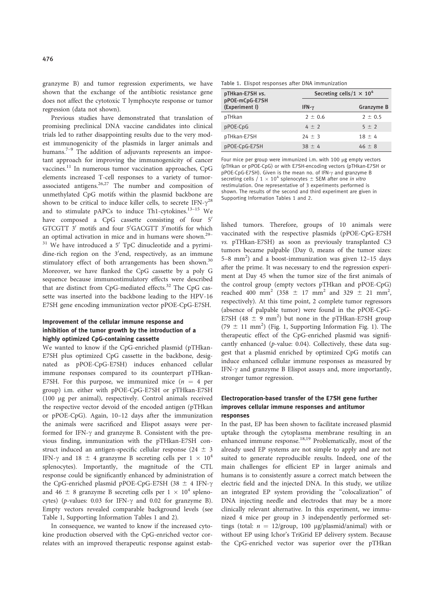granzyme B) and tumor regression experiments, we have shown that the exchange of the antibiotic resistance gene does not affect the cytotoxic T lymphocyte response or tumor regression (data not shown).

Previous studies have demonstrated that translation of promising preclinical DNA vaccine candidates into clinical trials led to rather disappointing results due to the very modest immunogenicity of the plasmids in larger animals and humans.<sup>7–9</sup> The addition of adjuvants represents an important approach for improving the immunogenicity of cancer vaccines.<sup>11</sup> In numerous tumor vaccination approaches, CpG elements increased T-cell responses to a variety of tumorassociated antigens.26,27 The number and composition of unmethylated CpG motifs within the plasmid backbone are shown to be critical to induce killer cells, to secrete IFN- $\gamma^{28}$ and to stimulate pAPCs to induce Th1-cytokines.<sup>13-15</sup> We have composed a CpG cassette consisting of four 5' GTCGTT 3' motifs and four 5'GACGTT 3'motifs for which an optimal activation in mice and in humans were shown.29–  $31$  We have introduced a 5' TpC dinucleotide and a pyrimidine-rich region on the 3'end, respectively, as an immune stimulatory effect of both arrangements has been shown.<sup>30</sup> Moreover, we have flanked the CpG cassette by a poly G sequence because immunostimulatory effects were described that are distinct from CpG-mediated effects.<sup>32</sup> The CpG cassette was inserted into the backbone leading to the HPV-16 E7SH gene encoding immunization vector pPOE-CpG-E7SH.

# Improvement of the cellular immune response and inhibition of the tumor growth by the introduction of a highly optimized CpG-containing cassette

We wanted to know if the CpG-enriched plasmid (pTHkan-E7SH plus optimized CpG cassette in the backbone, designated as pPOE-CpG-E7SH) induces enhanced cellular immune responses compared to its counterpart pTHkan-E7SH. For this purpose, we immunized mice  $(n = 4$  per group) i.m. either with pPOE-CpG-E7SH or pTHkan-E7SH (100 lg per animal), respectively. Control animals received the respective vector devoid of the encoded antigen (pTHkan or pPOE-CpG). Again, 10–12 days after the immunization the animals were sacrificed and Elispot assays were performed for IFN- $\gamma$  and granzyme B. Consistent with the previous finding, immunization with the pTHkan-E7SH construct induced an antigen-specific cellular response (24  $\pm$  3 IFN- $\gamma$  and 18  $\pm$  4 granzyme B secreting cells per 1  $\times$  10<sup>4</sup> splenocytes). Importantly, the magnitude of the CTL response could be significantly enhanced by administration of the CpG-enriched plasmid pPOE-CpG-E7SH (38  $\pm$  4 IFN- $\gamma$ ) and 46  $\pm$  8 granzyme B secreting cells per 1  $\times$  10<sup>4</sup> splenocytes) (p-values:  $0.03$  for IFN- $\gamma$  and  $0.02$  for granzyme B). Empty vectors revealed comparable background levels (see Table 1, Supporting Information Tables 1 and 2).

In consequence, we wanted to know if the increased cytokine production observed with the CpG-enriched vector correlates with an improved therapeutic response against estab-

Table 1. Elispot responses after DNA immunization

| pTHkan-E7SH vs.<br>pPOE-mCpG-E7SH | Secreting cells/1 $\times$ 10 <sup>4</sup> |             |
|-----------------------------------|--------------------------------------------|-------------|
| (Experiment I)                    | IFN- $\gamma$                              | Granzyme B  |
| pTHkan                            | $2 \pm 0.6$                                | $2 \pm 0.5$ |
| pPOE-CpG                          | $4 \pm 2$                                  | $5 \pm 2$   |
| pTHkan-E7SH                       | $24 \pm 3$                                 | $18 \pm 4$  |
| pPOE-CpG-E7SH                     | $38 \pm 4$                                 | $46 \pm 8$  |

Four mice per group were immunized i.m. with 100  $\mu$ g empty vectors (pTHkan or pPOE-CpG) or with E7SH-encoding vectors (pTHkan-E7SH or  $p$ POE-CpG-E7SH). Given is the mean no. of IFN- $\gamma$  and granzyme B secreting cells  $/ 1 \times 10^4$  splenocytes  $\pm$  SEM after one *in vitro* restimulation. One representative of 3 experiments performed is shown. The results of the second and third experiment are given in Supporting Information Tables 1 and 2.

lished tumors. Therefore, groups of 10 animals were vaccinated with the respective plasmids (pPOE-CpG-E7SH vs. pTHkan-E7SH) as soon as previously transplanted C3 tumors became palpable (Day 0, means of the tumor sizes: 5-8 mm<sup>2</sup>) and a boost-immunization was given 12-15 days after the prime. It was necessary to end the regression experiment at Day 45 when the tumor size of the first animals of the control group (empty vectors pTHkan and pPOE-CpG) reached 400 mm<sup>2</sup> (358  $\pm$  17 mm<sup>2</sup> and 329  $\pm$  21 mm<sup>2</sup>, respectively). At this time point, 2 complete tumor regressors (absence of palpable tumor) were found in the pPOE-CpG-E7SH (48  $\pm$  9 mm<sup>2</sup>) but none in the pTHkan-E7SH group (79  $\pm$  11 mm<sup>2</sup>) (Fig. 1, Supporting Information Fig. 1). The therapeutic effect of the CpG-enriched plasmid was significantly enhanced (p-value: 0.04). Collectively, these data suggest that a plasmid enriched by optimized CpG motifs can induce enhanced cellular immune responses as measured by IFN- $\gamma$  and granzyme B Elispot assays and, more importantly, stronger tumor regression.

# Electroporation-based transfer of the E7SH gene further improves cellular immune responses and antitumor responses

In the past, EP has been shown to facilitate increased plasmid uptake through the cytoplasma membrane resulting in an enhanced immune response.<sup>18,19</sup> Problematically, most of the already used EP systems are not simple to apply and are not suited to generate reproducible results. Indeed, one of the main challenges for efficient EP in larger animals and humans is to consistently assure a correct match between the electric field and the injected DNA. In this study, we utilize an integrated EP system providing the ''colocalization'' of DNA injecting needle and electrodes that may be a more clinically relevant alternative. In this experiment, we immunized 4 mice per group in 3 independently performed settings (total:  $n = 12/\text{group}$ , 100 ug/plasmid/animal) with or without EP using Ichor's TriGrid EP delivery system. Because the CpG-enriched vector was superior over the pTHkan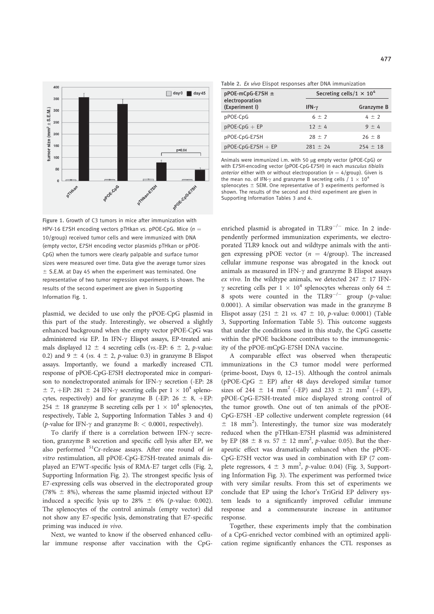

Figure 1. Growth of C3 tumors in mice after immunization with HPV-16 E7SH encoding vectors pTHkan vs. pPOE-CpG. Mice  $(n =$ 10/group) received tumor cells and were immunized with DNA (empty vector, E7SH encoding vector plasmids pTHkan or pPOE-CpG) when the tumors were clearly palpable and surface tumor sizes were measured over time. Data give the average tumor sizes  $\pm$  S.E.M. at Day 45 when the experiment was terminated. One representative of two tumor regression experiments is shown. The results of the second experiment are given in Supporting Information Fig. 1.

plasmid, we decided to use only the pPOE-CpG plasmid in this part of the study. Interestingly, we observed a slightly enhanced background when the empty vector pPOE-CpG was administered via EP. In IFN- $\gamma$  Elispot assays, EP-treated animals displayed 12  $\pm$  4 secreting cells (vs.-EP: 6  $\pm$  2, p-value: 0.2) and  $9 \pm 4$  (vs.  $4 \pm 2$ , p-value: 0.3) in granzyme B Elispot assays. Importantly, we found a markedly increased CTL response of pPOE-CpG-E7SH electroporated mice in comparison to nonelectroporated animals for IFN- $\gamma$  secretion (-EP: 28  $\pm$  7, +EP: 281  $\pm$  24 IFN- $\gamma$  secreting cells per 1  $\times$  10<sup>4</sup> splenocytes, respectively) and for granzyme B (-EP:  $26 \pm 8$ , +EP: 254  $\pm$  18 granzyme B secreting cells per  $1 \times 10^4$  splenocytes, respectively, Table 2, Supporting Information Tables 3 and 4) (*p*-value for IFN- $\gamma$  and granzyme B: < 0.0001, respectively).

To clarify if there is a correlation between IFN- $\gamma$  secretion, granzyme B secretion and specific cell lysis after EP, we also performed <sup>51</sup>Cr-release assays. After one round of in vitro restimulation, all pPOE-CpG-E7SH-treated animals displayed an E7WT-specific lysis of RMA-E7 target cells (Fig. 2, Supporting Information Fig. 2). The strongest specific lysis of E7-expressing cells was observed in the electroporated group (78%  $\pm$  8%), whereas the same plasmid injected without EP induced a specific lysis up to 28%  $\pm$  6% (p-value: 0.002). The splenocytes of the control animals (empty vector) did not show any E7-specific lysis, demonstrating that E7-specific priming was induced in vivo.

Next, we wanted to know if the observed enhanced cellular immune response after vaccination with the CpG- Table 2. Ex vivo Elispot responses after DNA immunization

| $pPOE-mCpG-E7SH \pm$<br>electroporation<br>(Experiment I) | IFN- $\gamma$ | Secreting cells/1 $\times$ 10 <sup>4</sup><br>Granzyme B |
|-----------------------------------------------------------|---------------|----------------------------------------------------------|
| pPOE-CpG                                                  | $6 \pm 2$     | $4 \pm 2$                                                |
| $pPOE-CpG + EP$                                           | $12 \pm 4$    | $9 + 4$                                                  |
| pPOE-CpG-E7SH                                             | $28 \pm 7$    | $26 \pm 8$                                               |
| $pPOE-CpG-E7SH + EP$                                      | $281 \pm 24$  | $254 \pm 18$                                             |

Animals were immunized i.m. with 50 µg empty vector (pPOE-CpG) or with E7SH-encoding vector (pPOE-CpG-E7SH) in each musculus tibialis anterior either with or without electroporation  $(n = 4/\text{group})$ . Given is the mean no. of IFN- $\gamma$  and granzyme B secreting cells / 1  $\times$  10<sup>4</sup> splenocytes  $\pm$  SEM. One representative of 3 experiments performed is shown. The results of the second and third experiment are given in Supporting Information Tables 3 and 4.

enriched plasmid is abrogated in TLR9 $^{-/-}$  mice. In 2 independently performed immunization experiments, we electroporated TLR9 knock out and wildtype animals with the antigen expressing pPOE vector  $(n = 4/\text{group})$ . The increased cellular immune response was abrogated in the knock out animals as measured in IFN- $\gamma$  and granzyme B Elispot assays ex vivo. In the wildtype animals, we detected  $247 \pm 17$  IFN- $\gamma$  secreting cells per 1  $\times$  10<sup>4</sup> splenocytes whereas only 64  $\pm$ 8 spots were counted in the  $TLR9^{-/-}$  group (p-value: 0.0001). A similar observation was made in the granzyme B Elispot assay (251  $\pm$  21 *vs.* 47  $\pm$  10, *p*-value: 0.0001) (Table 3, Supporting Information Table 5). This outcome suggests that under the conditions used in this study, the CpG cassette within the pPOE backbone contributes to the immunogenicity of the pPOE-mCpG-E7SH DNA vaccine.

A comparable effect was observed when therapeutic immunizations in the C3 tumor model were performed (prime-boost, Days 0, 12–15). Although the control animals (pPOE-CpG  $\pm$  EP) after 48 days developed similar tumor sizes of 244  $\pm$  14 mm<sup>2</sup> (-EP) and 233  $\pm$  21 mm<sup>2</sup> (+EP), pPOE-CpG-E7SH-treated mice displayed strong control of the tumor growth. One out of ten animals of the pPOE-CpG-E7SH -EP collective underwent complete regression (44  $\pm$  18 mm<sup>2</sup>). Interestingly, the tumor size was moderately reduced when the pTHkan-E7SH plasmid was administered by EP (88  $\pm$  8 *vs.* 57  $\pm$  12 mm<sup>2</sup>, *p*-value: 0.05). But the therapeutic effect was dramatically enhanced when the pPOE-CpG-E7SH vector was used in combination with EP (7 complete regressors,  $4 \pm 3$  mm<sup>2</sup>, p-value: 0.04) (Fig. 3, Supporting Information Fig. 3). The experiment was performed twice with very similar results. From this set of experiments we conclude that EP using the Ichor's TriGrid EP delivery system leads to a significantly improved cellular immune response and a commensurate increase in antitumor response.

Together, these experiments imply that the combination of a CpG-enriched vector combined with an optimized application regime significantly enhances the CTL responses as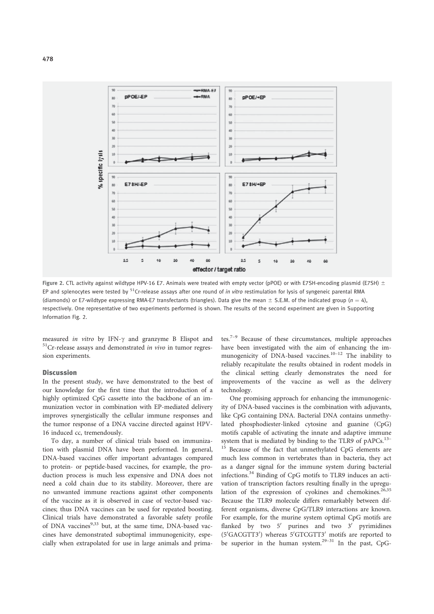

Figure 2. CTL activity against wildtype HPV-16 E7. Animals were treated with empty vector (pPOE) or with E7SH-encoding plasmid (E7SH)  $\pm$ EP and splenocytes were tested by  $51Cr$ -release assays after one round of *in vitro* restimulation for lysis of syngeneic parental RMA (diamonds) or E7-wildtype expressing RMA-E7 transfectants (triangles). Data give the mean  $\pm$  S.E.M. of the indicated group (n = 4), respectively. One representative of two experiments performed is shown. The results of the second experiment are given in Supporting Information Fig. 2.

measured in vitro by IFN- $\gamma$  and granzyme B Elispot and  $51$ Cr-release assays and demonstrated in vivo in tumor regression experiments.

# **Discussion**

In the present study, we have demonstrated to the best of our knowledge for the first time that the introduction of a highly optimized CpG cassette into the backbone of an immunization vector in combination with EP-mediated delivery improves synergistically the cellular immune responses and the tumor response of a DNA vaccine directed against HPV-16 induced cc, tremendously.

To day, a number of clinical trials based on immunization with plasmid DNA have been performed. In general, DNA-based vaccines offer important advantages compared to protein- or peptide-based vaccines, for example, the production process is much less expensive and DNA does not need a cold chain due to its stability. Moreover, there are no unwanted immune reactions against other components of the vaccine as it is observed in case of vector-based vaccines; thus DNA vaccines can be used for repeated boosting. Clinical trials have demonstrated a favorable safety profile of DNA vaccines<sup>9,33</sup> but, at the same time, DNA-based vaccines have demonstrated suboptimal immunogenicity, especially when extrapolated for use in large animals and primates.7–9 Because of these circumstances, multiple approaches have been investigated with the aim of enhancing the immunogenicity of DNA-based vaccines.<sup>10-12</sup> The inability to reliably recapitulate the results obtained in rodent models in the clinical setting clearly demonstrates the need for improvements of the vaccine as well as the delivery technology.

One promising approach for enhancing the immunogenicity of DNA-based vaccines is the combination with adjuvants, like CpG containing DNA. Bacterial DNA contains unmethylated phosphodiester-linked cytosine and guanine (CpG) motifs capable of activating the innate and adaptive immune system that is mediated by binding to the TLR9 of pAPCs.<sup>13-</sup> <sup>15</sup> Because of the fact that unmethylated CpG elements are much less common in vertebrates than in bacteria, they act as a danger signal for the immune system during bacterial infections.<sup>34</sup> Binding of CpG motifs to TLR9 induces an activation of transcription factors resulting finally in the upregulation of the expression of cyokines and chemokines.<sup>26,35</sup> Because the TLR9 molecule differs remarkably between different organisms, diverse CpG/TLR9 interactions are known. For example, for the murine system optimal CpG motifs are flanked by two  $5'$  purines and two  $3'$  pyrimidines (5'GACGTT3') whereas 5'GTCGTT3' motifs are reported to be superior in the human system.<sup>29–31</sup> In the past, CpG-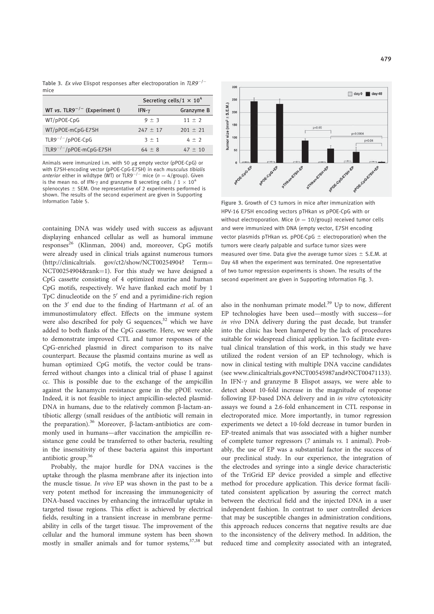Table 3. Ex vivo Elispot responses after electroporation in  $TLR9^{-/-}$ mice

|                                           | Secreting cells/1 $\times$ 10 <sup>4</sup> |              |
|-------------------------------------------|--------------------------------------------|--------------|
| WT vs. TLR9 <sup>-/-</sup> (Experiment I) | IFN- $\gamma$                              | Granzyme B   |
| WT/pPOE-CpG                               | $9 \pm 3$                                  | $11 \pm 2$   |
| WT/pPOE-mCpG-E7SH                         | $247 \pm 17$                               | $201 \pm 21$ |
| $TLR9^{-/-}/pPOE-CpG$                     | $3 \pm 1$                                  | $4 \pm 2$    |
| TLR9 <sup>-/-</sup> /pPOE-mCpG-E7SH       | $64 \pm 8$                                 | $47 \pm 10$  |

Animals were immunized i.m. with 50 µg empty vector (pPOE-CpG) or with E7SH-encoding vector (pPOE-CpG-E7SH) in each *musculus tibialis*<br>*anterior* either in wildtype (WT) or TLR9<sup>–/–</sup> mice (*n = 4*/group). Given is the mean no. of IFN- $\gamma$  and granzyme B secreting cells  $/ 1 \times 10^4$ splenocytes  $\pm$  SEM. One representative of 2 experiments performed is shown. The results of the second experiment are given in Supporting Information Table 5. The state of the state of the Figure 3. Growth of C3 tumors in mice after immunization with

containing DNA was widely used with success as adjuvant displaying enhanced cellular as well as humoral immune responses<sup>26</sup> (Klinman, 2004) and, moreover, CpG motifs were already used in clinical trials against numerous tumors (http://clinicaltrials. gov/ct2/show/NCT00254904? Term= NCT00254904&rank=1). For this study we have designed a CpG cassette consisting of 4 optimized murine and human CpG motifs, respectively. We have flanked each motif by 1 TpC dinucleotide on the  $5'$  end and a pyrimidine-rich region on the 3' end due to the finding of Hartmann et al. of an immunostimulatory effect. Effects on the immune system were also described for poly G sequences, $32$  which we have added to both flanks of the CpG cassette. Here, we were able to demonstrate improved CTL and tumor responses of the CpG-enriched plasmid in direct comparison to its naïve counterpart. Because the plasmid contains murine as well as human optimized CpG motifs, the vector could be transferred without changes into a clinical trial of phase I against cc. This is possible due to the exchange of the ampicillin against the kanamycin resistance gene in the pPOE vector. Indeed, it is not feasible to inject ampicillin-selected plasmid-DNA in humans, due to the relatively common  $\beta$ -lactam-antibiotic allergy (small residues of the antibiotic will remain in the preparation).<sup>36</sup> Moreover,  $\beta$ -lactam-antibiotics are commonly used in humans—after vaccination the ampicillin resistance gene could be transferred to other bacteria, resulting in the insensitivity of these bacteria against this important antibiotic group.<sup>36</sup>

Probably, the major hurdle for DNA vaccines is the uptake through the plasma membrane after its injection into the muscle tissue. In vivo EP was shown in the past to be a very potent method for increasing the immunogenicity of DNA-based vaccines by enhancing the intracellular uptake in targeted tissue regions. This effect is achieved by electrical fields, resulting in a transient increase in membrane permeability in cells of the target tissue. The improvement of the cellular and the humoral immune system has been shown mostly in smaller animals and for tumor systems,<sup>37,38</sup> but



HPV-16 E7SH encoding vectors pTHkan vs pPOE-CpG with or without electroporation. Mice  $(n = 10/\text{group})$  received tumor cells and were immunized with DNA (empty vector, E7SH encoding vector plasmids pTHkan vs. pPOE-CpG  $\pm$  electroporation) when the tumors were clearly palpable and surface tumor sizes were measured over time. Data give the average tumor sizes  $\pm$  S.E.M. at Day 48 when the experiment was terminated. One representative of two tumor regression experiments is shown. The results of the second experiment are given in Supporting Information Fig. 3.

also in the nonhuman primate model.<sup>39</sup> Up to now, different EP technologies have been used—mostly with success—for in vivo DNA delivery during the past decade, but transfer into the clinic has been hampered by the lack of procedures suitable for widespread clinical application. To facilitate eventual clinical translation of this work, in this study we have utilized the rodent version of an EP technology, which is now in clinical testing with multiple DNA vaccine candidates (see www.clinicaltrials.gov#NCT00545987and#NCT00471133). In IFN- $\gamma$  and granzyme B Elispot assays, we were able to detect about 10-fold increase in the magnitude of response following EP-based DNA delivery and in *in vitro* cytotoxicity assays we found a 2.6-fold enhancement in CTL response in electroporated mice. More importantly, in tumor regression experiments we detect a 10-fold decrease in tumor burden in EP-treated animals that was associated with a higher number of complete tumor regressors (7 animals vs. 1 animal). Probably, the use of EP was a substantial factor in the success of our preclinical study. In our experience, the integration of the electrodes and syringe into a single device characteristic of the TriGrid EP device provided a simple and effective method for procedure application. This device format facilitated consistent application by assuring the correct match between the electrical field and the injected DNA in a user independent fashion. In contrast to user controlled devices that may be susceptible changes in administration conditions, this approach reduces concerns that negative results are due to the inconsistency of the delivery method. In addition, the reduced time and complexity associated with an integrated,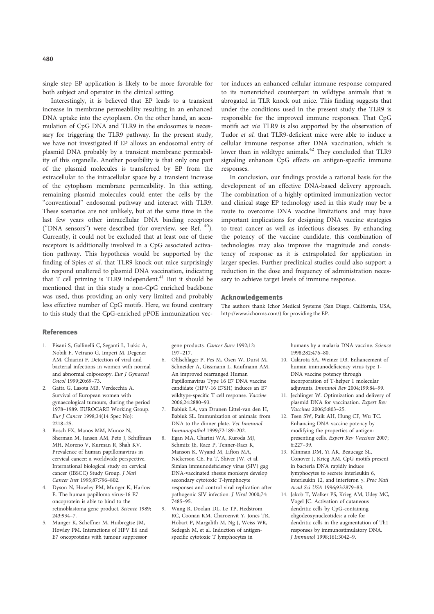single step EP application is likely to be more favorable for both subject and operator in the clinical setting.

Interestingly, it is believed that EP leads to a transient increase in membrane permeability resulting in an enhanced DNA uptake into the cytoplasm. On the other hand, an accumulation of CpG DNA and TLR9 in the endosomes is necessary for triggering the TLR9 pathway. In the present study, we have not investigated if EP allows an endosomal entry of plasmid DNA probably by a transient membrane permeability of this organelle. Another possibility is that only one part of the plasmid molecules is transferred by EP from the extracellular to the intracellular space by a transient increase of the cytoplasm membrane permeability. In this setting, remaining plasmid molecules could enter the cells by the ''conventional'' endosomal pathway and interact with TLR9. These scenarios are not unlikely, but at the same time in the last few years other intracellular DNA binding receptors (''DNA sensors'') were described (for overview, see Ref. 40). Currently, it could not be excluded that at least one of these receptors is additionally involved in a CpG associated activation pathway. This hypothesis would be supported by the finding of Spies et al. that TLR9 knock out mice surprisingly do respond unaltered to plasmid DNA vaccination, indicating that  $T$  cell priming is  $TLR9$  independent.<sup>41</sup> But it should be mentioned that in this study a non-CpG enriched backbone was used, thus providing an only very limited and probably less effective number of CpG motifs. Here, we found contrary to this study that the CpG-enriched pPOE immunization vec-

tor induces an enhanced cellular immune response compared to its nonenriched counterpart in wildtype animals that is abrogated in TLR knock out mice. This finding suggests that under the conditions used in the present study the TLR9 is responsible for the improved immune responses. That CpG motifs act via TLR9 is also supported by the observation of Tudor et al. that TLR9-deficient mice were able to induce a cellular immune response after DNA vaccination, which is lower than in wildtype animals.<sup>42</sup> They concluded that TLR9 signaling enhances CpG effects on antigen-specific immune responses.

In conclusion, our findings provide a rational basis for the development of an effective DNA-based delivery approach. The combination of a highly optimized immunization vector and clinical stage EP technology used in this study may be a route to overcome DNA vaccine limitations and may have important implications for designing DNA vaccine strategies to treat cancer as well as infectious diseases. By enhancing the potency of the vaccine candidate, this combination of technologies may also improve the magnitude and consistency of response as it is extrapolated for application in larger species. Further preclinical studies could also support a reduction in the dose and frequency of administration necessary to achieve target levels of immune response.

#### Acknowledgements

The authors thank Ichor Medical Systems (San Diego, California, USA, http://www.ichorms.com/) for providing the EP.

# References

- 1. Pisani S, Gallinelli C, Seganti L, Lukic A, Nobili F, Vetrano G, Imperi M, Degener AM, Chiarini F. Detection of viral and bacterial infections in women with normal and abnormal colposcopy. Eur J Gynaecol Oncol 1999;20:69–73.
- 2. Gatta G, Lasota MB, Verdecchia A. Survival of European women with gynaecological tumours, during the period 1978–1989. EUROCARE Working Group. Eur J Cancer 1998;34(14 Spec No): 2218–25.
- 3. Bosch FX, Manos MM, Munoz N, Sherman M, Jansen AM, Peto J, Schiffman MH, Moreno V, Kurman R, Shah KV. Prevalence of human papillomavirus in cervical cancer: a worldwide perspective. International biological study on cervical cancer (IBSCC) Study Group. J Natl Cancer Inst 1995;87:796–802.
- 4. Dyson N, Howley PM, Munger K, Harlow E. The human papilloma virus-16 E7 oncoprotein is able to bind to the retinoblastoma gene product. Science 1989; 243:934–7.
- 5. Munger K, Scheffner M, Huibregtse JM, Howley PM. Interactions of HPV E6 and E7 oncoproteins with tumour suppressor

gene products. Cancer Surv 1992;12: 197–217.

- 6. Ohlschlager P, Pes M, Osen W, Durst M, Schneider A, Gissmann L, Kaufmann AM. An improved rearranged Human Papillomavirus Type 16 E7 DNA vaccine candidate (HPV-16 E7SH) induces an E7 wildtype-specific T cell response. Vaccine 2006;24:2880–93.
- 7. Babiuk LA, van Drunen Littel-van den H, Babiuk SL. Immunization of animals: from DNA to the dinner plate. Vet Immunol Immunopathol 1999;72:189–202.
- Egan MA, Charini WA, Kuroda MJ, Schmitz JE, Racz P, Tenner-Racz K Manson K, Wyand M, Lifton MA, Nickerson CE, Fu T, Shiver JW, et al. Simian immunodeficiency virus (SIV) gag DNA-vaccinated rhesus monkeys develop secondary cytotoxic T-lymphocyte responses and control viral replication after pathogenic SIV infection. J Virol 2000;74: 7485–95.
- 9. Wang R, Doolan DL, Le TP, Hedstrom RC, Coonan KM, Charoenvit Y, Jones TR, Hobart P, Margalith M, Ng J, Weiss WR, Sedegah M, et al. Induction of antigenspecific cytotoxic T lymphocytes in

humans by a malaria DNA vaccine. Science 1998;282:476–80.

- 10. Calarota SA, Weiner DB. Enhancement of human immunodeficiency virus type 1- DNA vaccine potency through incorporation of T-helper 1 molecular adjuvants. Immunol Rev 2004;199:84–99.
- 11. Jechlinger W. Optimization and delivery of plasmid DNA for vaccination. Expert Rev Vaccines 2006;5:803–25.
- 12. Tsen SW, Paik AH, Hung CF, Wu TC. Enhancing DNA vaccine potency by modifying the properties of antigenpresenting cells. Expert Rev Vaccines 2007; 6:227–39.
- 13. Klinman DM, Yi AK, Beaucage SL, Conover J, Krieg AM. CpG motifs present in bacteria DNA rapidly induce lymphocytes to secrete interleukin 6, interleukin 12, and interferon  $\gamma$ . Proc Natl Acad Sci USA 1996;93:2879–83.
- 14. Jakob T, Walker PS, Krieg AM, Udey MC, Vogel JC. Activation of cutaneous dendritic cells by CpG-containing oligodeoxynucleotides: a role for dendritic cells in the augmentation of Th1 responses by immunostimulatory DNA. J Immunol 1998;161:3042–9.